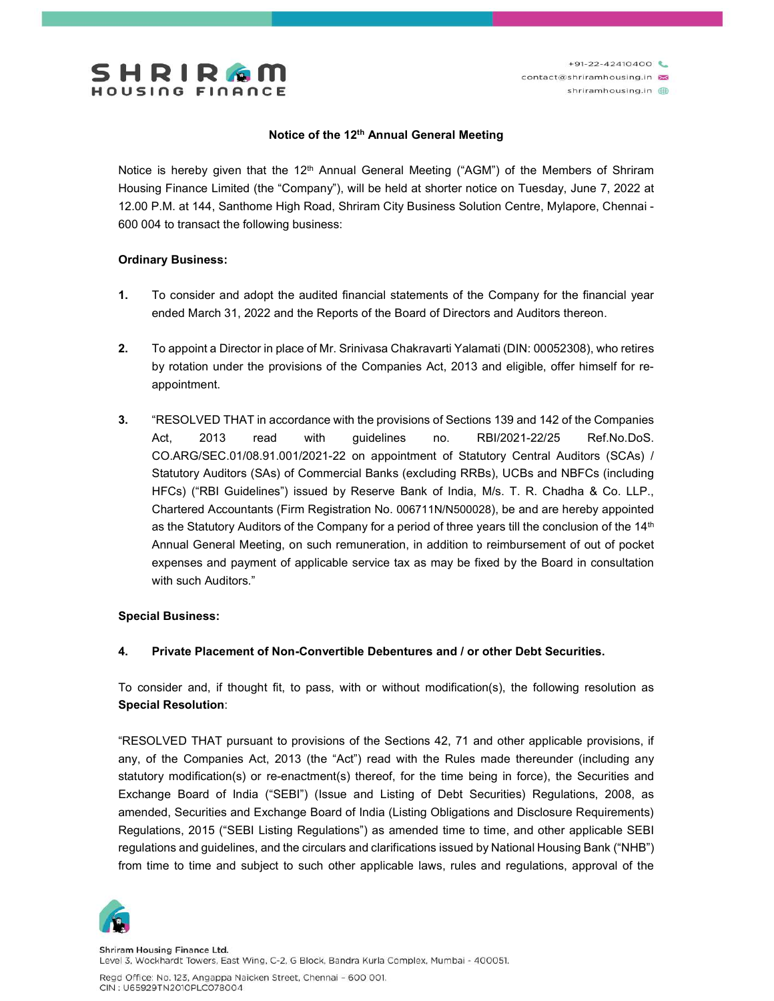

# Notice of the 12th Annual General Meeting

Notice is hereby given that the  $12<sup>th</sup>$  Annual General Meeting ("AGM") of the Members of Shriram Housing Finance Limited (the "Company"), will be held at shorter notice on Tuesday, June 7, 2022 at 12.00 P.M. at 144, Santhome High Road, Shriram City Business Solution Centre, Mylapore, Chennai - 600 004 to transact the following business:

## Ordinary Business:

- 1. To consider and adopt the audited financial statements of the Company for the financial year ended March 31, 2022 and the Reports of the Board of Directors and Auditors thereon.
- 2. To appoint a Director in place of Mr. Srinivasa Chakravarti Yalamati (DIN: 00052308), who retires by rotation under the provisions of the Companies Act, 2013 and eligible, offer himself for reappointment.
- 3. "RESOLVED THAT in accordance with the provisions of Sections 139 and 142 of the Companies Act, 2013 read with guidelines no. RBI/2021-22/25 Ref.No.DoS. CO.ARG/SEC.01/08.91.001/2021-22 on appointment of Statutory Central Auditors (SCAs) / Statutory Auditors (SAs) of Commercial Banks (excluding RRBs), UCBs and NBFCs (including HFCs) ("RBI Guidelines") issued by Reserve Bank of India, M/s. T. R. Chadha & Co. LLP., Chartered Accountants (Firm Registration No. 006711N/N500028), be and are hereby appointed as the Statutory Auditors of the Company for a period of three years till the conclusion of the  $14<sup>th</sup>$ Annual General Meeting, on such remuneration, in addition to reimbursement of out of pocket expenses and payment of applicable service tax as may be fixed by the Board in consultation with such Auditors."

## Special Business:

## 4. Private Placement of Non-Convertible Debentures and / or other Debt Securities.

To consider and, if thought fit, to pass, with or without modification(s), the following resolution as Special Resolution:

"RESOLVED THAT pursuant to provisions of the Sections 42, 71 and other applicable provisions, if any, of the Companies Act, 2013 (the "Act") read with the Rules made thereunder (including any statutory modification(s) or re-enactment(s) thereof, for the time being in force), the Securities and Exchange Board of India ("SEBI") (Issue and Listing of Debt Securities) Regulations, 2008, as amended, Securities and Exchange Board of India (Listing Obligations and Disclosure Requirements) Regulations, 2015 ("SEBI Listing Regulations") as amended time to time, and other applicable SEBI regulations and guidelines, and the circulars and clarifications issued by National Housing Bank ("NHB") from time to time and subject to such other applicable laws, rules and regulations, approval of the

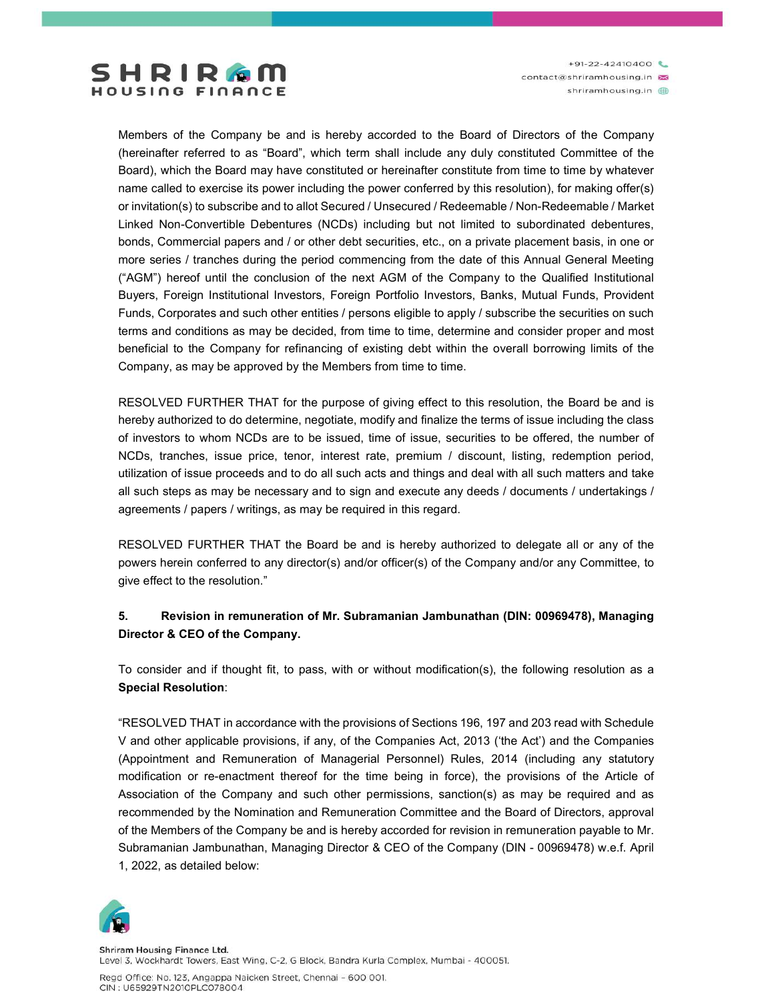

Members of the Company be and is hereby accorded to the Board of Directors of the Company (hereinafter referred to as "Board", which term shall include any duly constituted Committee of the Board), which the Board may have constituted or hereinafter constitute from time to time by whatever name called to exercise its power including the power conferred by this resolution), for making offer(s) or invitation(s) to subscribe and to allot Secured / Unsecured / Redeemable / Non-Redeemable / Market Linked Non-Convertible Debentures (NCDs) including but not limited to subordinated debentures, bonds, Commercial papers and / or other debt securities, etc., on a private placement basis, in one or more series / tranches during the period commencing from the date of this Annual General Meeting ("AGM") hereof until the conclusion of the next AGM of the Company to the Qualified Institutional Buyers, Foreign Institutional Investors, Foreign Portfolio Investors, Banks, Mutual Funds, Provident Funds, Corporates and such other entities / persons eligible to apply / subscribe the securities on such terms and conditions as may be decided, from time to time, determine and consider proper and most beneficial to the Company for refinancing of existing debt within the overall borrowing limits of the Company, as may be approved by the Members from time to time.

RESOLVED FURTHER THAT for the purpose of giving effect to this resolution, the Board be and is hereby authorized to do determine, negotiate, modify and finalize the terms of issue including the class of investors to whom NCDs are to be issued, time of issue, securities to be offered, the number of NCDs, tranches, issue price, tenor, interest rate, premium / discount, listing, redemption period, utilization of issue proceeds and to do all such acts and things and deal with all such matters and take all such steps as may be necessary and to sign and execute any deeds / documents / undertakings / agreements / papers / writings, as may be required in this regard.

RESOLVED FURTHER THAT the Board be and is hereby authorized to delegate all or any of the powers herein conferred to any director(s) and/or officer(s) of the Company and/or any Committee, to give effect to the resolution."

# 5. Revision in remuneration of Mr. Subramanian Jambunathan (DIN: 00969478), Managing Director & CEO of the Company.

To consider and if thought fit, to pass, with or without modification(s), the following resolution as a Special Resolution:

"RESOLVED THAT in accordance with the provisions of Sections 196, 197 and 203 read with Schedule V and other applicable provisions, if any, of the Companies Act, 2013 ('the Act') and the Companies (Appointment and Remuneration of Managerial Personnel) Rules, 2014 (including any statutory modification or re-enactment thereof for the time being in force), the provisions of the Article of Association of the Company and such other permissions, sanction(s) as may be required and as recommended by the Nomination and Remuneration Committee and the Board of Directors, approval of the Members of the Company be and is hereby accorded for revision in remuneration payable to Mr. Subramanian Jambunathan, Managing Director & CEO of the Company (DIN - 00969478) w.e.f. April 1, 2022, as detailed below:

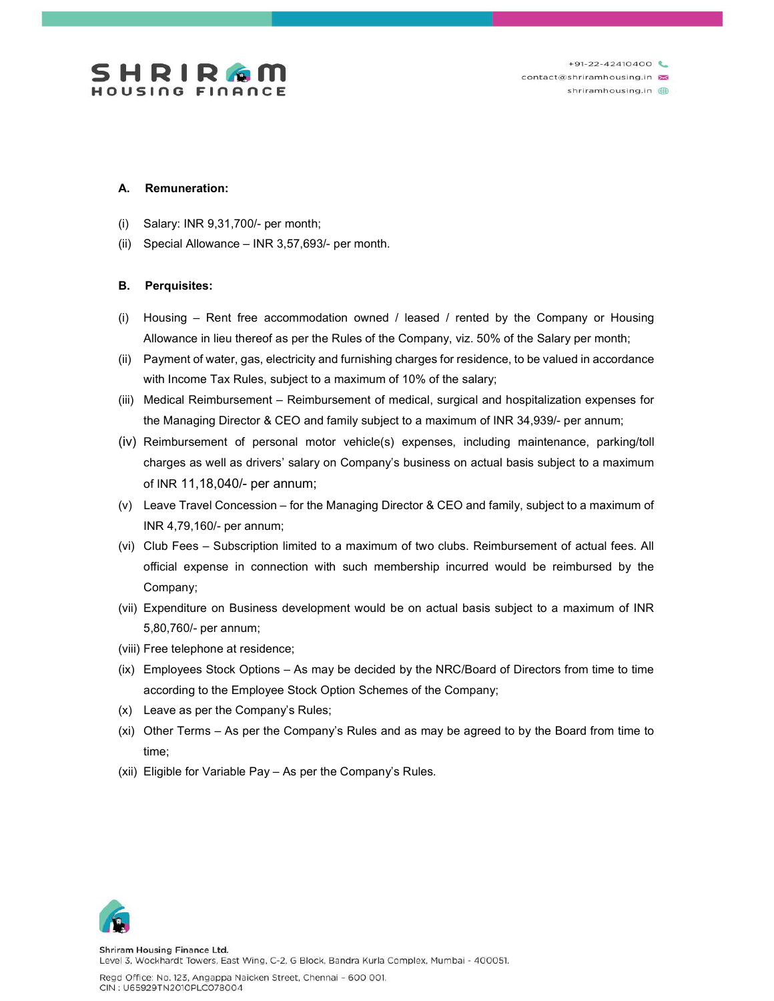

+91-22-42410400 contact@shriramhousing.in

shriramhousing.in (

# A. Remuneration:

- (i) Salary: INR 9,31,700/- per month;
- (ii) Special Allowance INR 3,57,693/- per month.

# B. Perquisites:

- (i) Housing Rent free accommodation owned / leased / rented by the Company or Housing Allowance in lieu thereof as per the Rules of the Company, viz. 50% of the Salary per month;
- (ii) Payment of water, gas, electricity and furnishing charges for residence, to be valued in accordance with Income Tax Rules, subject to a maximum of 10% of the salary;
- (iii) Medical Reimbursement Reimbursement of medical, surgical and hospitalization expenses for the Managing Director & CEO and family subject to a maximum of INR 34,939/- per annum;
- (iv) Reimbursement of personal motor vehicle(s) expenses, including maintenance, parking/toll charges as well as drivers' salary on Company's business on actual basis subject to a maximum of INR 11,18,040/- per annum;
- (v) Leave Travel Concession for the Managing Director & CEO and family, subject to a maximum of INR 4,79,160/- per annum;
- (vi) Club Fees Subscription limited to a maximum of two clubs. Reimbursement of actual fees. All official expense in connection with such membership incurred would be reimbursed by the Company;
- (vii) Expenditure on Business development would be on actual basis subject to a maximum of INR 5,80,760/- per annum;
- (viii) Free telephone at residence;
- (ix) Employees Stock Options As may be decided by the NRC/Board of Directors from time to time according to the Employee Stock Option Schemes of the Company;
- (x) Leave as per the Company's Rules;
- (xi) Other Terms As per the Company's Rules and as may be agreed to by the Board from time to time;
- (xii) Eligible for Variable Pay As per the Company's Rules.

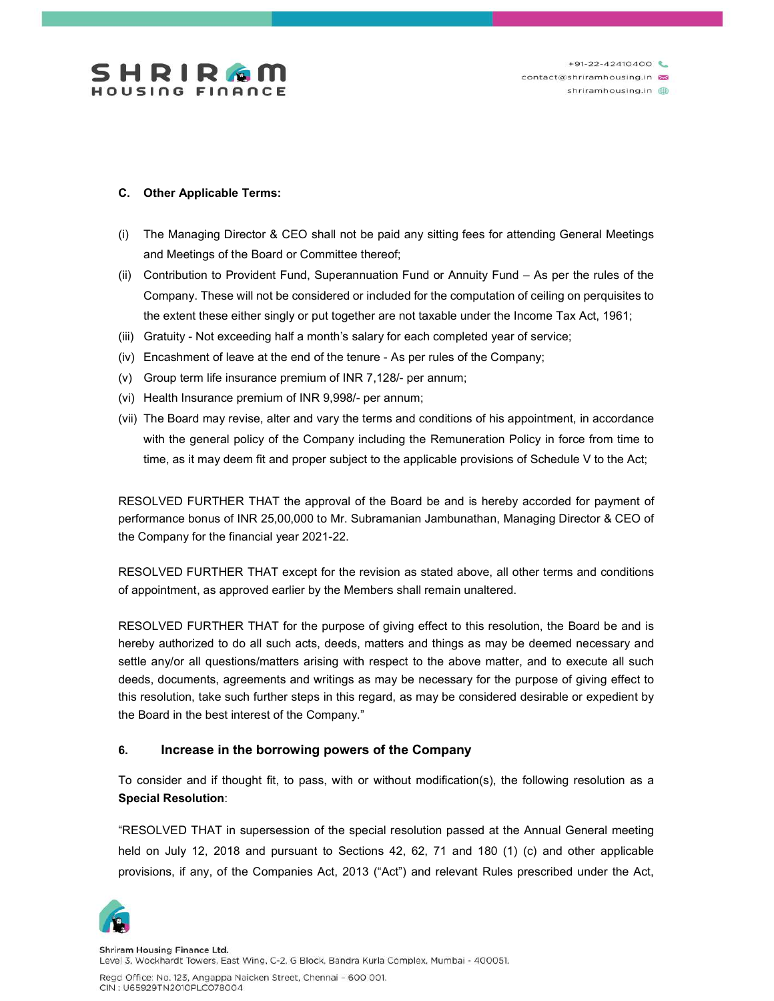

# C. Other Applicable Terms:

- (i) The Managing Director & CEO shall not be paid any sitting fees for attending General Meetings and Meetings of the Board or Committee thereof;
- (ii) Contribution to Provident Fund, Superannuation Fund or Annuity Fund As per the rules of the Company. These will not be considered or included for the computation of ceiling on perquisites to the extent these either singly or put together are not taxable under the Income Tax Act, 1961;
- (iii) Gratuity Not exceeding half a month's salary for each completed year of service;
- (iv) Encashment of leave at the end of the tenure As per rules of the Company;
- (v) Group term life insurance premium of INR 7,128/- per annum;
- (vi) Health Insurance premium of INR 9,998/- per annum;
- (vii) The Board may revise, alter and vary the terms and conditions of his appointment, in accordance with the general policy of the Company including the Remuneration Policy in force from time to time, as it may deem fit and proper subject to the applicable provisions of Schedule V to the Act;

RESOLVED FURTHER THAT the approval of the Board be and is hereby accorded for payment of performance bonus of INR 25,00,000 to Mr. Subramanian Jambunathan, Managing Director & CEO of the Company for the financial year 2021-22.

RESOLVED FURTHER THAT except for the revision as stated above, all other terms and conditions of appointment, as approved earlier by the Members shall remain unaltered.

RESOLVED FURTHER THAT for the purpose of giving effect to this resolution, the Board be and is hereby authorized to do all such acts, deeds, matters and things as may be deemed necessary and settle any/or all questions/matters arising with respect to the above matter, and to execute all such deeds, documents, agreements and writings as may be necessary for the purpose of giving effect to this resolution, take such further steps in this regard, as may be considered desirable or expedient by the Board in the best interest of the Company."

# 6. Increase in the borrowing powers of the Company

To consider and if thought fit, to pass, with or without modification(s), the following resolution as a Special Resolution:

"RESOLVED THAT in supersession of the special resolution passed at the Annual General meeting held on July 12, 2018 and pursuant to Sections 42, 62, 71 and 180 (1) (c) and other applicable provisions, if any, of the Companies Act, 2013 ("Act") and relevant Rules prescribed under the Act,

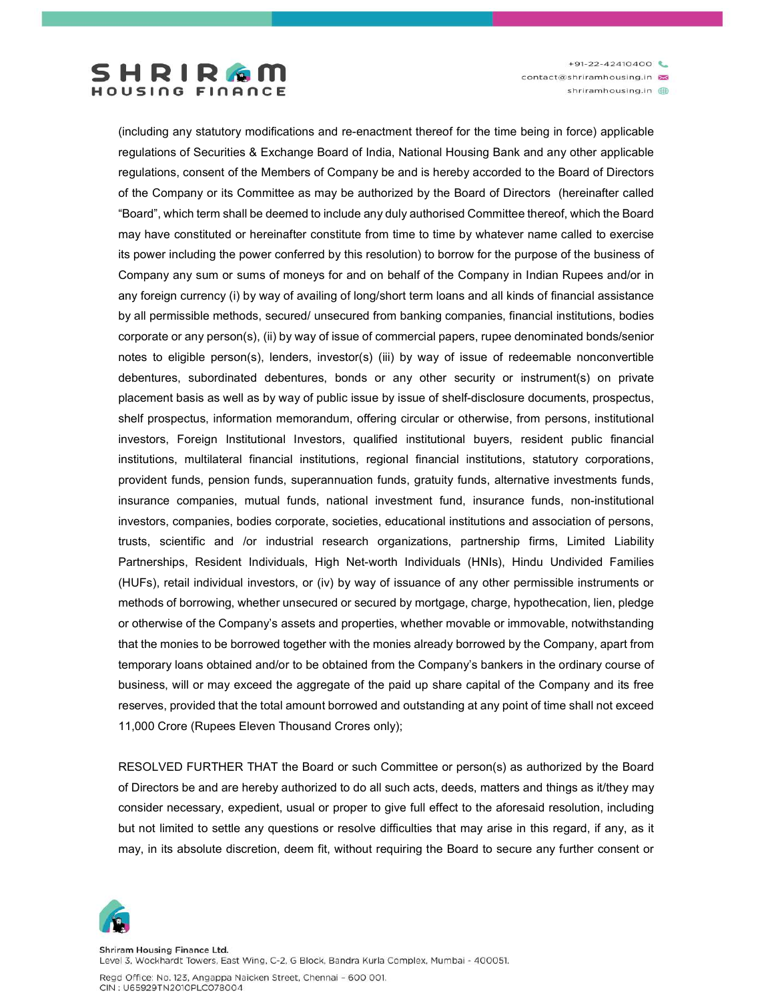

(including any statutory modifications and re-enactment thereof for the time being in force) applicable regulations of Securities & Exchange Board of India, National Housing Bank and any other applicable regulations, consent of the Members of Company be and is hereby accorded to the Board of Directors of the Company or its Committee as may be authorized by the Board of Directors (hereinafter called "Board", which term shall be deemed to include any duly authorised Committee thereof, which the Board may have constituted or hereinafter constitute from time to time by whatever name called to exercise its power including the power conferred by this resolution) to borrow for the purpose of the business of Company any sum or sums of moneys for and on behalf of the Company in Indian Rupees and/or in any foreign currency (i) by way of availing of long/short term loans and all kinds of financial assistance by all permissible methods, secured/ unsecured from banking companies, financial institutions, bodies corporate or any person(s), (ii) by way of issue of commercial papers, rupee denominated bonds/senior notes to eligible person(s), lenders, investor(s) (iii) by way of issue of redeemable nonconvertible debentures, subordinated debentures, bonds or any other security or instrument(s) on private placement basis as well as by way of public issue by issue of shelf-disclosure documents, prospectus, shelf prospectus, information memorandum, offering circular or otherwise, from persons, institutional investors, Foreign Institutional Investors, qualified institutional buyers, resident public financial institutions, multilateral financial institutions, regional financial institutions, statutory corporations, provident funds, pension funds, superannuation funds, gratuity funds, alternative investments funds, insurance companies, mutual funds, national investment fund, insurance funds, non-institutional investors, companies, bodies corporate, societies, educational institutions and association of persons, trusts, scientific and /or industrial research organizations, partnership firms, Limited Liability Partnerships, Resident Individuals, High Net-worth Individuals (HNIs), Hindu Undivided Families (HUFs), retail individual investors, or (iv) by way of issuance of any other permissible instruments or methods of borrowing, whether unsecured or secured by mortgage, charge, hypothecation, lien, pledge or otherwise of the Company's assets and properties, whether movable or immovable, notwithstanding that the monies to be borrowed together with the monies already borrowed by the Company, apart from temporary loans obtained and/or to be obtained from the Company's bankers in the ordinary course of business, will or may exceed the aggregate of the paid up share capital of the Company and its free reserves, provided that the total amount borrowed and outstanding at any point of time shall not exceed 11,000 Crore (Rupees Eleven Thousand Crores only);

RESOLVED FURTHER THAT the Board or such Committee or person(s) as authorized by the Board of Directors be and are hereby authorized to do all such acts, deeds, matters and things as it/they may consider necessary, expedient, usual or proper to give full effect to the aforesaid resolution, including but not limited to settle any questions or resolve difficulties that may arise in this regard, if any, as it may, in its absolute discretion, deem fit, without requiring the Board to secure any further consent or

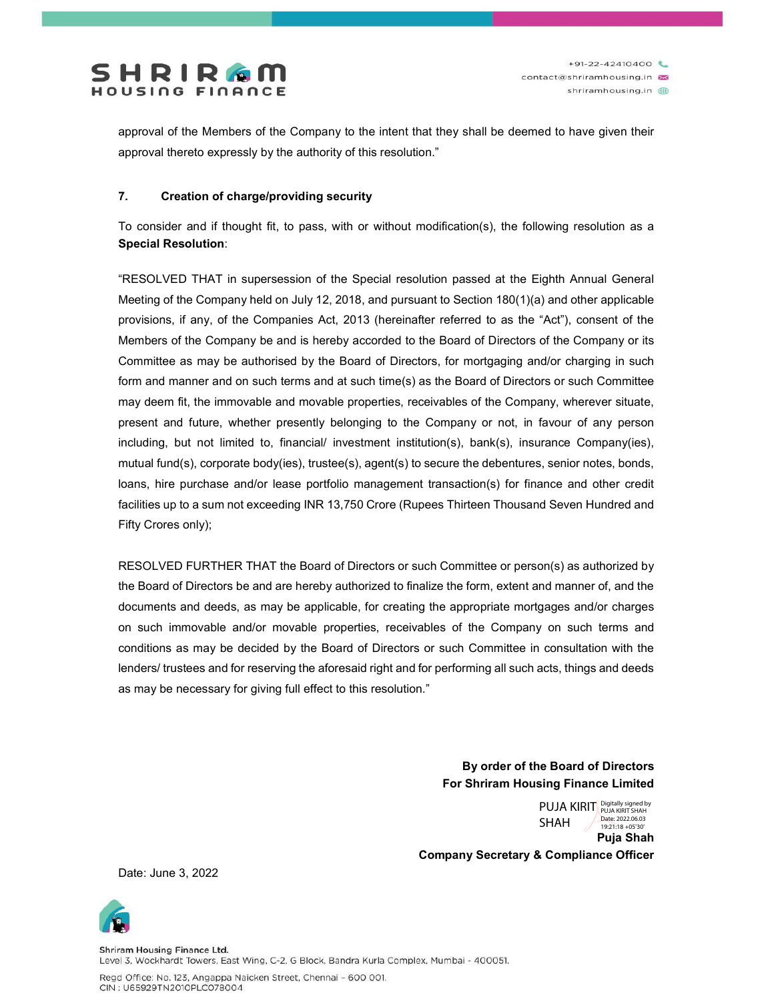

approval of the Members of the Company to the intent that they shall be deemed to have given their approval thereto expressly by the authority of this resolution."

# 7. Creation of charge/providing security

To consider and if thought fit, to pass, with or without modification(s), the following resolution as a Special Resolution:

"RESOLVED THAT in supersession of the Special resolution passed at the Eighth Annual General Meeting of the Company held on July 12, 2018, and pursuant to Section 180(1)(a) and other applicable provisions, if any, of the Companies Act, 2013 (hereinafter referred to as the "Act"), consent of the Members of the Company be and is hereby accorded to the Board of Directors of the Company or its Committee as may be authorised by the Board of Directors, for mortgaging and/or charging in such form and manner and on such terms and at such time(s) as the Board of Directors or such Committee may deem fit, the immovable and movable properties, receivables of the Company, wherever situate, present and future, whether presently belonging to the Company or not, in favour of any person including, but not limited to, financial/ investment institution(s), bank(s), insurance Company(ies), mutual fund(s), corporate body(ies), trustee(s), agent(s) to secure the debentures, senior notes, bonds, loans, hire purchase and/or lease portfolio management transaction(s) for finance and other credit facilities up to a sum not exceeding INR 13,750 Crore (Rupees Thirteen Thousand Seven Hundred and Fifty Crores only);

RESOLVED FURTHER THAT the Board of Directors or such Committee or person(s) as authorized by the Board of Directors be and are hereby authorized to finalize the form, extent and manner of, and the documents and deeds, as may be applicable, for creating the appropriate mortgages and/or charges on such immovable and/or movable properties, receivables of the Company on such terms and conditions as may be decided by the Board of Directors or such Committee in consultation with the lenders/ trustees and for reserving the aforesaid right and for performing all such acts, things and deeds as may be necessary for giving full effect to this resolution."

> By order of the Board of Directors For Shriram Housing Finance Limited

> > Puja Shah PUJA KIRIT PUJA KIRIT SHAH SHAH Date: 2022.06.03 19:21:18 +05'30'

Company Secretary & Compliance Officer

Date: June 3, 2022

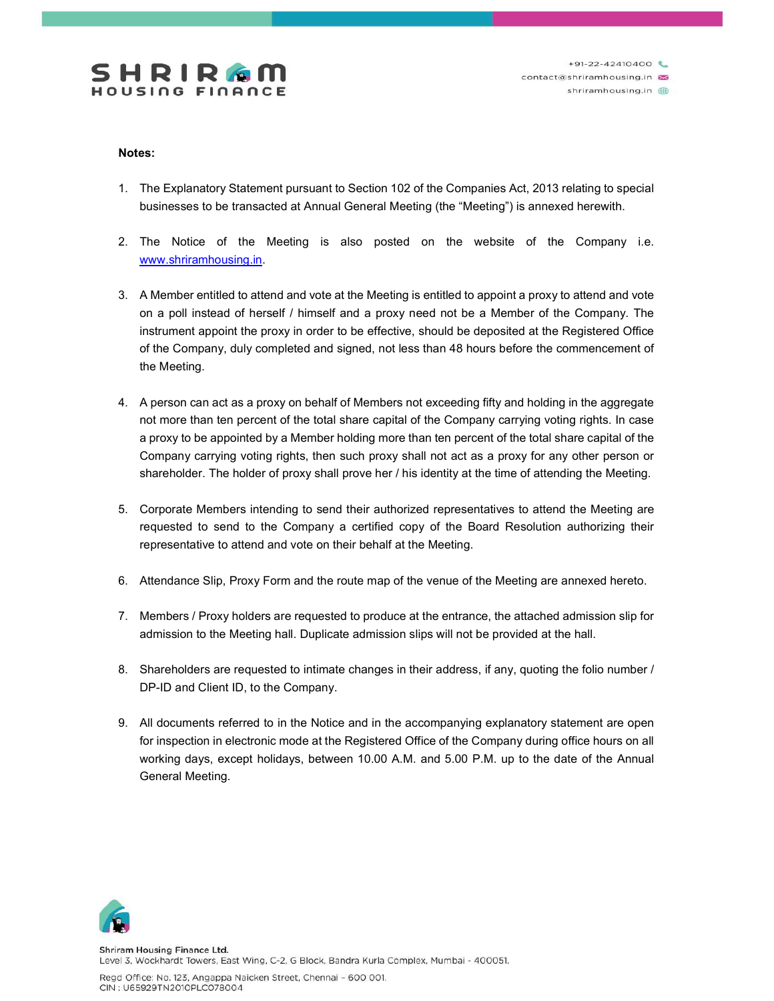

## Notes:

- 1. The Explanatory Statement pursuant to Section 102 of the Companies Act, 2013 relating to special businesses to be transacted at Annual General Meeting (the "Meeting") is annexed herewith.
- 2. The Notice of the Meeting is also posted on the website of the Company i.e. www.shriramhousing.in.
- 3. A Member entitled to attend and vote at the Meeting is entitled to appoint a proxy to attend and vote on a poll instead of herself / himself and a proxy need not be a Member of the Company. The instrument appoint the proxy in order to be effective, should be deposited at the Registered Office of the Company, duly completed and signed, not less than 48 hours before the commencement of the Meeting.
- 4. A person can act as a proxy on behalf of Members not exceeding fifty and holding in the aggregate not more than ten percent of the total share capital of the Company carrying voting rights. In case a proxy to be appointed by a Member holding more than ten percent of the total share capital of the Company carrying voting rights, then such proxy shall not act as a proxy for any other person or shareholder. The holder of proxy shall prove her / his identity at the time of attending the Meeting.
- 5. Corporate Members intending to send their authorized representatives to attend the Meeting are requested to send to the Company a certified copy of the Board Resolution authorizing their representative to attend and vote on their behalf at the Meeting.
- 6. Attendance Slip, Proxy Form and the route map of the venue of the Meeting are annexed hereto.
- 7. Members / Proxy holders are requested to produce at the entrance, the attached admission slip for admission to the Meeting hall. Duplicate admission slips will not be provided at the hall.
- 8. Shareholders are requested to intimate changes in their address, if any, quoting the folio number / DP-ID and Client ID, to the Company.
- 9. All documents referred to in the Notice and in the accompanying explanatory statement are open for inspection in electronic mode at the Registered Office of the Company during office hours on all working days, except holidays, between 10.00 A.M. and 5.00 P.M. up to the date of the Annual General Meeting.

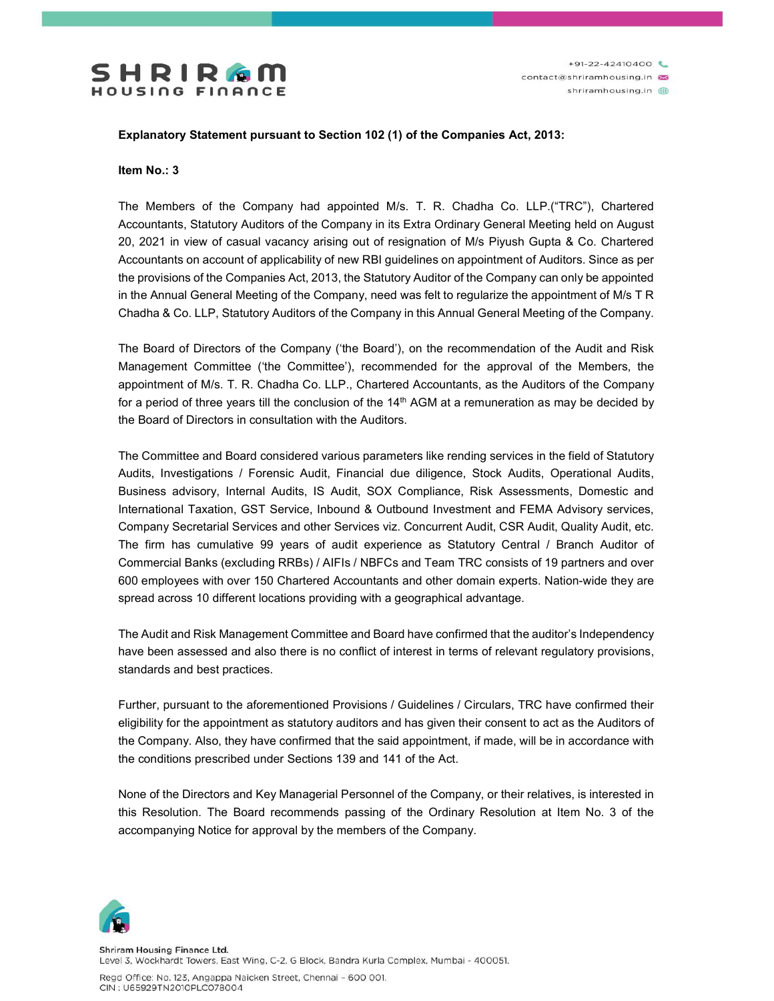

## Explanatory Statement pursuant to Section 102 (1) of the Companies Act, 2013:

#### Item No.: 3

The Members of the Company had appointed M/s. T. R. Chadha Co. LLP.("TRC"), Chartered Accountants, Statutory Auditors of the Company in its Extra Ordinary General Meeting held on August 20, 2021 in view of casual vacancy arising out of resignation of M/s Piyush Gupta & Co. Chartered Accountants on account of applicability of new RBI guidelines on appointment of Auditors. Since as per the provisions of the Companies Act, 2013, the Statutory Auditor of the Company can only be appointed in the Annual General Meeting of the Company, need was felt to regularize the appointment of M/s T R Chadha & Co. LLP, Statutory Auditors of the Company in this Annual General Meeting of the Company.

The Board of Directors of the Company ('the Board'), on the recommendation of the Audit and Risk Management Committee ('the Committee'), recommended for the approval of the Members, the appointment of M/s. T. R. Chadha Co. LLP., Chartered Accountants, as the Auditors of the Company for a period of three years till the conclusion of the  $14<sup>th</sup>$  AGM at a remuneration as may be decided by the Board of Directors in consultation with the Auditors.

The Committee and Board considered various parameters like rending services in the field of Statutory Audits, Investigations / Forensic Audit, Financial due diligence, Stock Audits, Operational Audits, Business advisory, Internal Audits, IS Audit, SOX Compliance, Risk Assessments, Domestic and International Taxation, GST Service, Inbound & Outbound Investment and FEMA Advisory services, Company Secretarial Services and other Services viz. Concurrent Audit, CSR Audit, Quality Audit, etc. The firm has cumulative 99 years of audit experience as Statutory Central / Branch Auditor of Commercial Banks (excluding RRBs) / AIFIs / NBFCs and Team TRC consists of 19 partners and over 600 employees with over 150 Chartered Accountants and other domain experts. Nation-wide they are spread across 10 different locations providing with a geographical advantage.

The Audit and Risk Management Committee and Board have confirmed that the auditor's Independency have been assessed and also there is no conflict of interest in terms of relevant regulatory provisions, standards and best practices.

Further, pursuant to the aforementioned Provisions / Guidelines / Circulars, TRC have confirmed their eligibility for the appointment as statutory auditors and has given their consent to act as the Auditors of the Company. Also, they have confirmed that the said appointment, if made, will be in accordance with the conditions prescribed under Sections 139 and 141 of the Act.

None of the Directors and Key Managerial Personnel of the Company, or their relatives, is interested in this Resolution. The Board recommends passing of the Ordinary Resolution at Item No. 3 of the accompanying Notice for approval by the members of the Company.

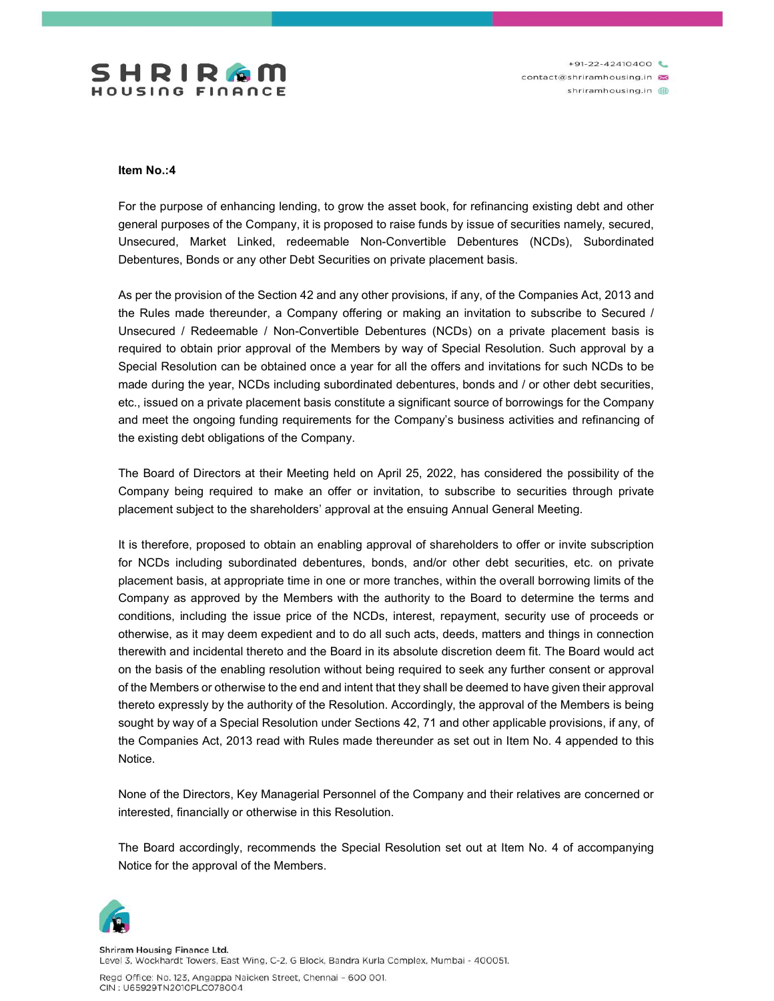

### Item No.:4

For the purpose of enhancing lending, to grow the asset book, for refinancing existing debt and other general purposes of the Company, it is proposed to raise funds by issue of securities namely, secured, Unsecured, Market Linked, redeemable Non-Convertible Debentures (NCDs), Subordinated Debentures, Bonds or any other Debt Securities on private placement basis.

As per the provision of the Section 42 and any other provisions, if any, of the Companies Act, 2013 and the Rules made thereunder, a Company offering or making an invitation to subscribe to Secured / Unsecured / Redeemable / Non-Convertible Debentures (NCDs) on a private placement basis is required to obtain prior approval of the Members by way of Special Resolution. Such approval by a Special Resolution can be obtained once a year for all the offers and invitations for such NCDs to be made during the year, NCDs including subordinated debentures, bonds and / or other debt securities, etc., issued on a private placement basis constitute a significant source of borrowings for the Company and meet the ongoing funding requirements for the Company's business activities and refinancing of the existing debt obligations of the Company.

The Board of Directors at their Meeting held on April 25, 2022, has considered the possibility of the Company being required to make an offer or invitation, to subscribe to securities through private placement subject to the shareholders' approval at the ensuing Annual General Meeting.

It is therefore, proposed to obtain an enabling approval of shareholders to offer or invite subscription for NCDs including subordinated debentures, bonds, and/or other debt securities, etc. on private placement basis, at appropriate time in one or more tranches, within the overall borrowing limits of the Company as approved by the Members with the authority to the Board to determine the terms and conditions, including the issue price of the NCDs, interest, repayment, security use of proceeds or otherwise, as it may deem expedient and to do all such acts, deeds, matters and things in connection therewith and incidental thereto and the Board in its absolute discretion deem fit. The Board would act on the basis of the enabling resolution without being required to seek any further consent or approval of the Members or otherwise to the end and intent that they shall be deemed to have given their approval thereto expressly by the authority of the Resolution. Accordingly, the approval of the Members is being sought by way of a Special Resolution under Sections 42, 71 and other applicable provisions, if any, of the Companies Act, 2013 read with Rules made thereunder as set out in Item No. 4 appended to this Notice.

None of the Directors, Key Managerial Personnel of the Company and their relatives are concerned or interested, financially or otherwise in this Resolution.

The Board accordingly, recommends the Special Resolution set out at Item No. 4 of accompanying Notice for the approval of the Members.

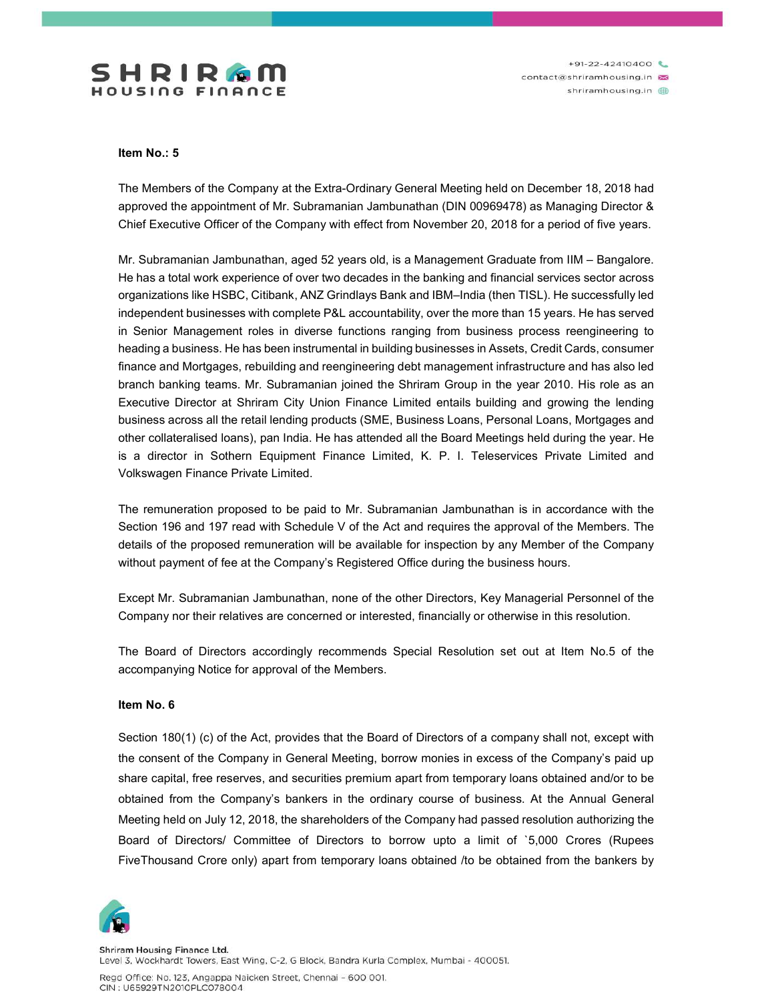

### Item No.: 5

The Members of the Company at the Extra-Ordinary General Meeting held on December 18, 2018 had approved the appointment of Mr. Subramanian Jambunathan (DIN 00969478) as Managing Director & Chief Executive Officer of the Company with effect from November 20, 2018 for a period of five years.

Mr. Subramanian Jambunathan, aged 52 years old, is a Management Graduate from IIM – Bangalore. He has a total work experience of over two decades in the banking and financial services sector across organizations like HSBC, Citibank, ANZ Grindlays Bank and IBM–India (then TISL). He successfully led independent businesses with complete P&L accountability, over the more than 15 years. He has served in Senior Management roles in diverse functions ranging from business process reengineering to heading a business. He has been instrumental in building businesses in Assets, Credit Cards, consumer finance and Mortgages, rebuilding and reengineering debt management infrastructure and has also led branch banking teams. Mr. Subramanian joined the Shriram Group in the year 2010. His role as an Executive Director at Shriram City Union Finance Limited entails building and growing the lending business across all the retail lending products (SME, Business Loans, Personal Loans, Mortgages and other collateralised loans), pan India. He has attended all the Board Meetings held during the year. He is a director in Sothern Equipment Finance Limited, K. P. I. Teleservices Private Limited and Volkswagen Finance Private Limited.

The remuneration proposed to be paid to Mr. Subramanian Jambunathan is in accordance with the Section 196 and 197 read with Schedule V of the Act and requires the approval of the Members. The details of the proposed remuneration will be available for inspection by any Member of the Company without payment of fee at the Company's Registered Office during the business hours.

Except Mr. Subramanian Jambunathan, none of the other Directors, Key Managerial Personnel of the Company nor their relatives are concerned or interested, financially or otherwise in this resolution.

The Board of Directors accordingly recommends Special Resolution set out at Item No.5 of the accompanying Notice for approval of the Members.

#### Item No. 6

Section 180(1) (c) of the Act, provides that the Board of Directors of a company shall not, except with the consent of the Company in General Meeting, borrow monies in excess of the Company's paid up share capital, free reserves, and securities premium apart from temporary loans obtained and/or to be obtained from the Company's bankers in the ordinary course of business. At the Annual General Meeting held on July 12, 2018, the shareholders of the Company had passed resolution authorizing the Board of Directors/ Committee of Directors to borrow upto a limit of `5,000 Crores (Rupees FiveThousand Crore only) apart from temporary loans obtained /to be obtained from the bankers by

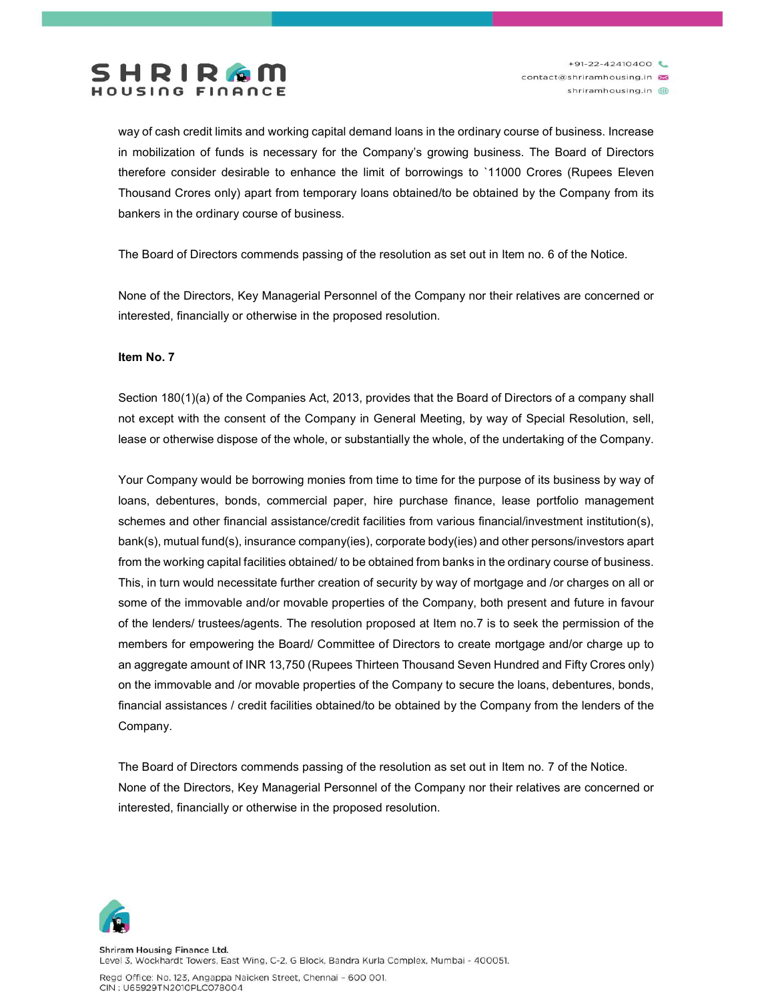

way of cash credit limits and working capital demand loans in the ordinary course of business. Increase in mobilization of funds is necessary for the Company's growing business. The Board of Directors therefore consider desirable to enhance the limit of borrowings to `11000 Crores (Rupees Eleven Thousand Crores only) apart from temporary loans obtained/to be obtained by the Company from its bankers in the ordinary course of business.

The Board of Directors commends passing of the resolution as set out in Item no. 6 of the Notice.

None of the Directors, Key Managerial Personnel of the Company nor their relatives are concerned or interested, financially or otherwise in the proposed resolution.

#### Item No. 7

Section 180(1)(a) of the Companies Act, 2013, provides that the Board of Directors of a company shall not except with the consent of the Company in General Meeting, by way of Special Resolution, sell, lease or otherwise dispose of the whole, or substantially the whole, of the undertaking of the Company.

Your Company would be borrowing monies from time to time for the purpose of its business by way of loans, debentures, bonds, commercial paper, hire purchase finance, lease portfolio management schemes and other financial assistance/credit facilities from various financial/investment institution(s), bank(s), mutual fund(s), insurance company(ies), corporate body(ies) and other persons/investors apart from the working capital facilities obtained/ to be obtained from banks in the ordinary course of business. This, in turn would necessitate further creation of security by way of mortgage and /or charges on all or some of the immovable and/or movable properties of the Company, both present and future in favour of the lenders/ trustees/agents. The resolution proposed at Item no.7 is to seek the permission of the members for empowering the Board/ Committee of Directors to create mortgage and/or charge up to an aggregate amount of INR 13,750 (Rupees Thirteen Thousand Seven Hundred and Fifty Crores only) on the immovable and /or movable properties of the Company to secure the loans, debentures, bonds, financial assistances / credit facilities obtained/to be obtained by the Company from the lenders of the Company.

The Board of Directors commends passing of the resolution as set out in Item no. 7 of the Notice. None of the Directors, Key Managerial Personnel of the Company nor their relatives are concerned or interested, financially or otherwise in the proposed resolution.

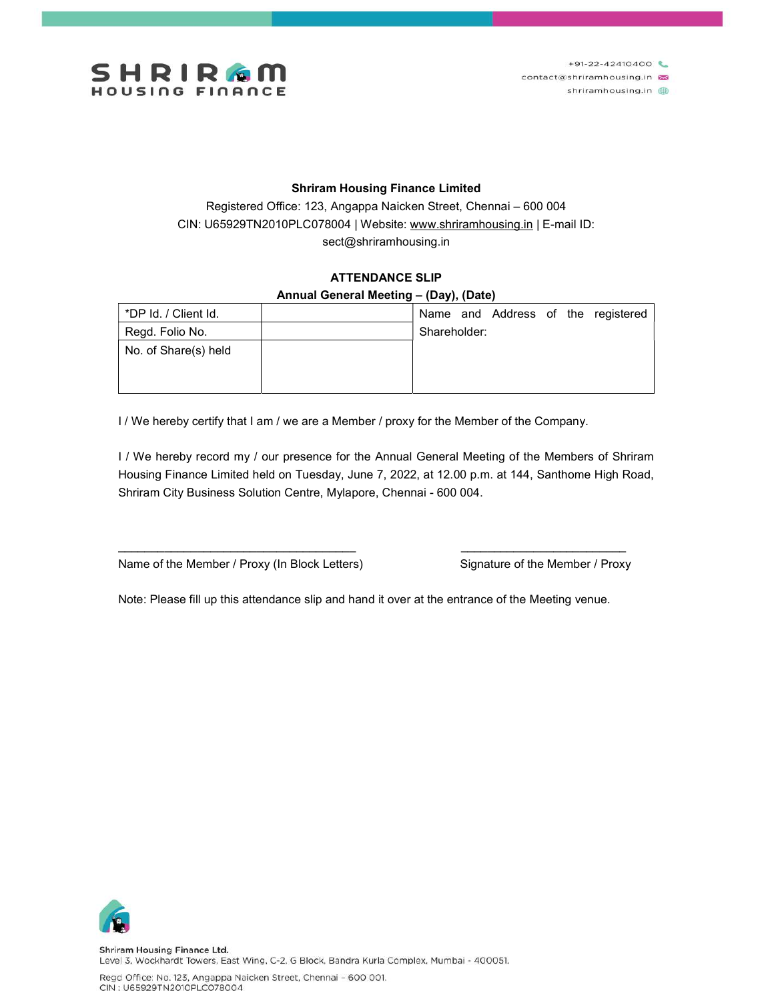

# Shriram Housing Finance Limited

Registered Office: 123, Angappa Naicken Street, Chennai – 600 004 CIN: U65929TN2010PLC078004 | Website: www.shriramhousing.in | E-mail ID: sect@shriramhousing.in

# ATTENDANCE SLIP Annual General Meeting – (Day), (Date)

| *DP Id. / Client Id. |  |              |  |  |  |  | Name and Address of the registered |  |  |
|----------------------|--|--------------|--|--|--|--|------------------------------------|--|--|
| Regd. Folio No.      |  | Shareholder: |  |  |  |  |                                    |  |  |
| No. of Share(s) held |  |              |  |  |  |  |                                    |  |  |
|                      |  |              |  |  |  |  |                                    |  |  |
|                      |  |              |  |  |  |  |                                    |  |  |

I / We hereby certify that I am / we are a Member / proxy for the Member of the Company.

I / We hereby record my / our presence for the Annual General Meeting of the Members of Shriram Housing Finance Limited held on Tuesday, June 7, 2022, at 12.00 p.m. at 144, Santhome High Road, Shriram City Business Solution Centre, Mylapore, Chennai - 600 004.

Name of the Member / Proxy (In Block Letters) Signature of the Member / Proxy

Note: Please fill up this attendance slip and hand it over at the entrance of the Meeting venue.

 $\frac{1}{2}$  ,  $\frac{1}{2}$  ,  $\frac{1}{2}$  ,  $\frac{1}{2}$  ,  $\frac{1}{2}$  ,  $\frac{1}{2}$  ,  $\frac{1}{2}$  ,  $\frac{1}{2}$  ,  $\frac{1}{2}$  ,  $\frac{1}{2}$  ,  $\frac{1}{2}$  ,  $\frac{1}{2}$  ,  $\frac{1}{2}$  ,  $\frac{1}{2}$  ,  $\frac{1}{2}$  ,  $\frac{1}{2}$  ,  $\frac{1}{2}$  ,  $\frac{1}{2}$  ,  $\frac{1$ 

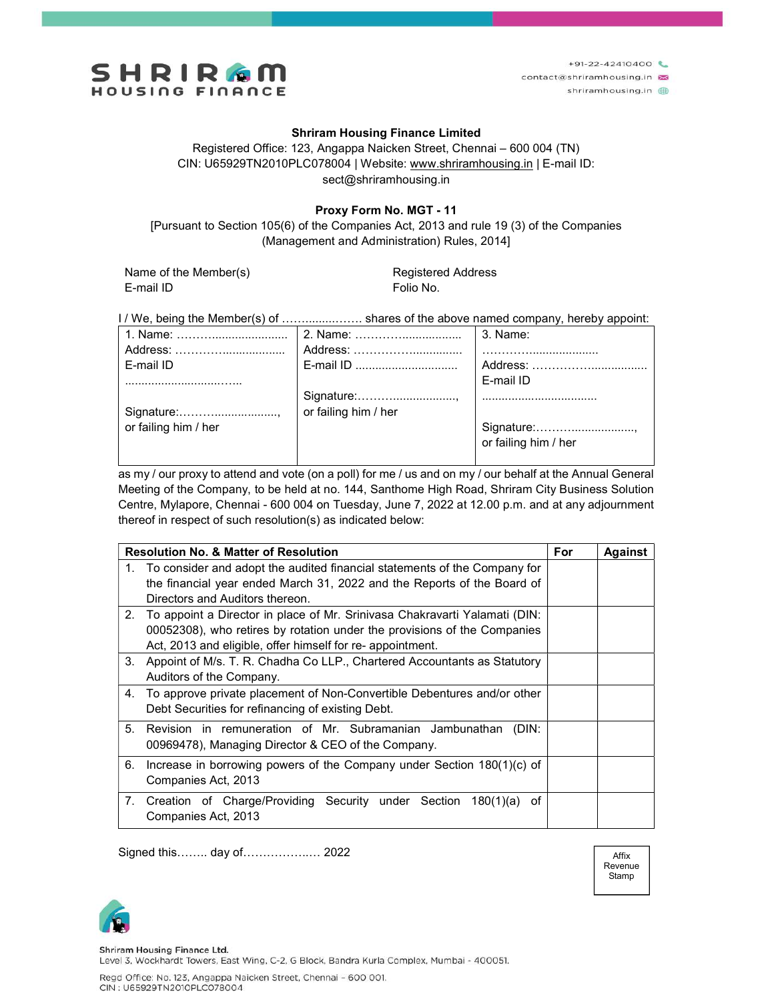

# Shriram Housing Finance Limited

Registered Office: 123, Angappa Naicken Street, Chennai – 600 004 (TN) CIN: U65929TN2010PLC078004 | Website: www.shriramhousing.in | E-mail ID: sect@shriramhousing.in

# Proxy Form No. MGT - 11

[Pursuant to Section 105(6) of the Companies Act, 2013 and rule 19 (3) of the Companies (Management and Administration) Rules, 2014]

Name of the Member(s) Name of the Member(s) Registered Address E-mail ID Folio No.

| I / We, being the Member(s) of ………………… shares of the above named company, hereby appoint: |  |  |
|-------------------------------------------------------------------------------------------|--|--|
|-------------------------------------------------------------------------------------------|--|--|

| 1. Name:             |                                    | 3. Name:                            |
|----------------------|------------------------------------|-------------------------------------|
| Address:             | Address:                           |                                     |
| E-mail ID            |                                    |                                     |
|                      |                                    | E-mail ID                           |
| Signature:,          | Signature:<br>or failing him / her |                                     |
| or failing him / her |                                    | Signature:,<br>or failing him / her |
|                      |                                    |                                     |

as my / our proxy to attend and vote (on a poll) for me / us and on my / our behalf at the Annual General Meeting of the Company, to be held at no. 144, Santhome High Road, Shriram City Business Solution Centre, Mylapore, Chennai - 600 004 on Tuesday, June 7, 2022 at 12.00 p.m. and at any adjournment thereof in respect of such resolution(s) as indicated below:

| <b>Resolution No. &amp; Matter of Resolution</b> |                                                                               | For | <b>Against</b> |
|--------------------------------------------------|-------------------------------------------------------------------------------|-----|----------------|
|                                                  | 1. To consider and adopt the audited financial statements of the Company for  |     |                |
|                                                  | the financial year ended March 31, 2022 and the Reports of the Board of       |     |                |
|                                                  | Directors and Auditors thereon.                                               |     |                |
|                                                  | 2. To appoint a Director in place of Mr. Srinivasa Chakravarti Yalamati (DIN: |     |                |
|                                                  | 00052308), who retires by rotation under the provisions of the Companies      |     |                |
|                                                  | Act, 2013 and eligible, offer himself for re-appointment.                     |     |                |
| 3.                                               | Appoint of M/s. T. R. Chadha Co LLP., Chartered Accountants as Statutory      |     |                |
|                                                  | Auditors of the Company.                                                      |     |                |
|                                                  | 4. To approve private placement of Non-Convertible Debentures and/or other    |     |                |
|                                                  | Debt Securities for refinancing of existing Debt.                             |     |                |
|                                                  | 5. Revision in remuneration of Mr. Subramanian Jambunathan (DIN:              |     |                |
|                                                  | 00969478), Managing Director & CEO of the Company.                            |     |                |
| 6.                                               | Increase in borrowing powers of the Company under Section $180(1)(c)$ of      |     |                |
|                                                  | Companies Act, 2013                                                           |     |                |
|                                                  | 7. Creation of Charge/Providing Security under Section 180(1)(a)<br>of        |     |                |
|                                                  | Companies Act, 2013                                                           |     |                |

Signed this…….. day of………………… 2022  $\overline{\phantom{0}}$ 



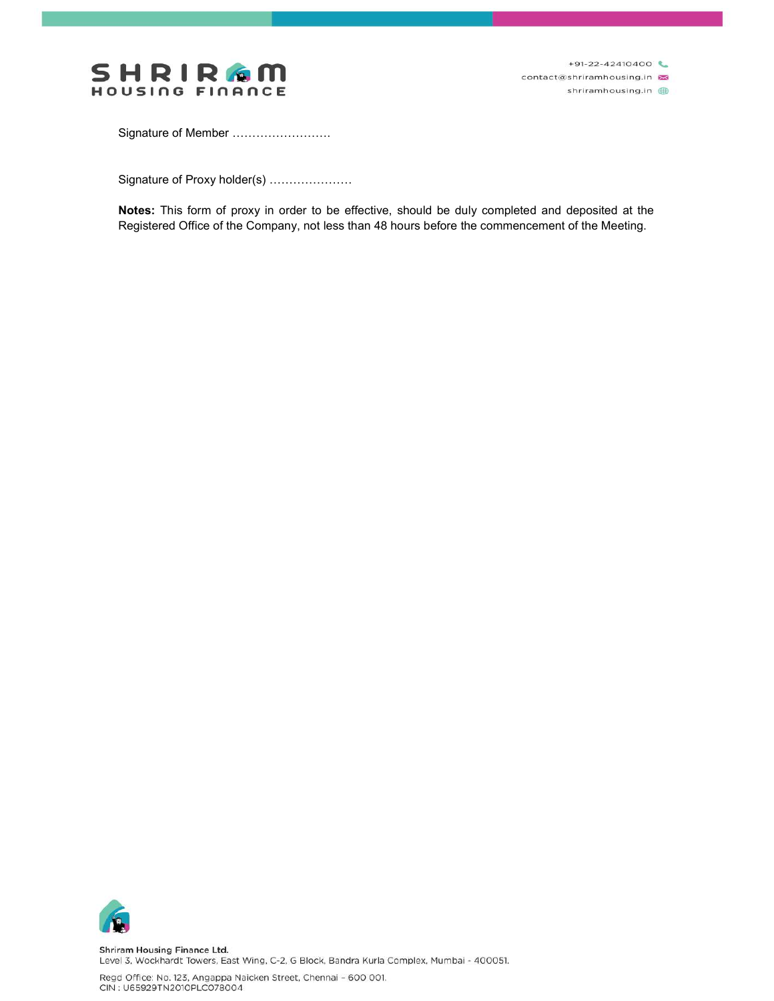

Signature of Member …………………….

Signature of Proxy holder(s) …………………

Notes: This form of proxy in order to be effective, should be duly completed and deposited at the Registered Office of the Company, not less than 48 hours before the commencement of the Meeting.